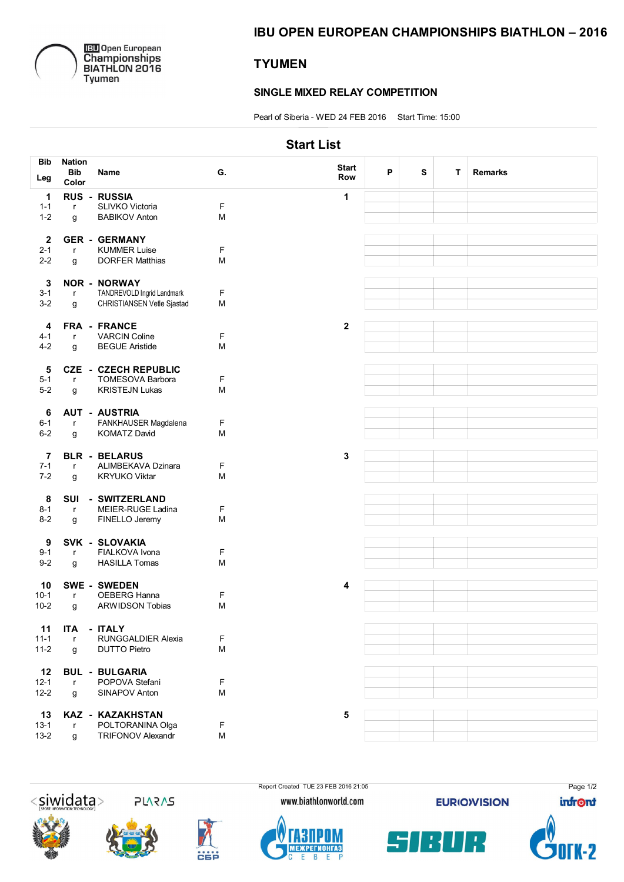

**IEU** Open European<br>Championships<br>BIATHLON 2016<br>Tyumen

#### IBU OPEN EUROPEAN CHAMPIONSHIPS BIATHLON – 2016

# **TYUMEN**

#### SINGLE MIXED RELAY COMPETITION

Pearl of Siberia - WED 24 FEB 2016 Start Time: 15:00

|              | <b>Start List</b> |                             |    |                     |   |   |   |                |  |
|--------------|-------------------|-----------------------------|----|---------------------|---|---|---|----------------|--|
| <b>Bib</b>   | <b>Nation</b>     |                             |    |                     |   |   |   |                |  |
|              | <b>Bib</b>        | Name                        | G. | <b>Start</b><br>Row | P | S | T | <b>Remarks</b> |  |
| Leg          | Color             |                             |    |                     |   |   |   |                |  |
| 1            |                   | <b>RUS - RUSSIA</b>         |    | 1                   |   |   |   |                |  |
| $1 - 1$      | $\mathsf{r}$      | <b>SLIVKO Victoria</b>      | F  |                     |   |   |   |                |  |
| $1 - 2$      | g                 | <b>BABIKOV Anton</b>        | M  |                     |   |   |   |                |  |
|              |                   |                             |    |                     |   |   |   |                |  |
| $\mathbf{2}$ |                   | <b>GER - GERMANY</b>        |    |                     |   |   |   |                |  |
| $2 - 1$      | $\mathsf{r}$      | <b>KUMMER Luise</b>         | F  |                     |   |   |   |                |  |
| $2-2$        | g                 | <b>DORFER Matthias</b>      | M  |                     |   |   |   |                |  |
|              |                   |                             |    |                     |   |   |   |                |  |
| 3            |                   | <b>NOR - NORWAY</b>         |    |                     |   |   |   |                |  |
| $3-1$        |                   | TANDREVOLD Ingrid Landmark  | F  |                     |   |   |   |                |  |
| $3-2$        | $\mathsf{r}$      | CHRISTIANSEN Vetle Sjastad  | M  |                     |   |   |   |                |  |
|              | g                 |                             |    |                     |   |   |   |                |  |
|              |                   |                             |    |                     |   |   |   |                |  |
| 4            |                   | FRA - FRANCE                |    | $\mathbf{2}$        |   |   |   |                |  |
| $4 - 1$      | $\mathsf{r}$      | <b>VARCIN Coline</b>        | F  |                     |   |   |   |                |  |
| $4 - 2$      | g                 | <b>BEGUE Aristide</b>       | M  |                     |   |   |   |                |  |
|              |                   |                             |    |                     |   |   |   |                |  |
| 5            |                   | <b>CZE - CZECH REPUBLIC</b> |    |                     |   |   |   |                |  |
| $5-1$        | $\mathsf{r}$      | TOMESOVA Barbora            | F  |                     |   |   |   |                |  |
| $5-2$        | g                 | <b>KRISTEJN Lukas</b>       | M  |                     |   |   |   |                |  |
|              |                   |                             |    |                     |   |   |   |                |  |
| 6            |                   | <b>AUT - AUSTRIA</b>        |    |                     |   |   |   |                |  |
| $6 - 1$      | $\mathsf{r}$      | FANKHAUSER Magdalena        | F  |                     |   |   |   |                |  |
| $6 - 2$      | g                 | <b>KOMATZ David</b>         | M  |                     |   |   |   |                |  |
|              |                   |                             |    |                     |   |   |   |                |  |
| 7            |                   | <b>BLR - BELARUS</b>        |    | $\mathbf 3$         |   |   |   |                |  |
| $7 - 1$      | $\mathsf{r}$      | ALIMBEKAVA Dzinara          | F  |                     |   |   |   |                |  |
| $7 - 2$      | g                 | <b>KRYUKO Viktar</b>        | M  |                     |   |   |   |                |  |
|              |                   |                             |    |                     |   |   |   |                |  |
| 8            | <b>SUI</b>        | - SWITZERLAND               |    |                     |   |   |   |                |  |
| $8 - 1$      | r                 | MEIER-RUGE Ladina           | F  |                     |   |   |   |                |  |
| $8 - 2$      | g                 | FINELLO Jeremy              | M  |                     |   |   |   |                |  |
|              |                   |                             |    |                     |   |   |   |                |  |
|              |                   |                             |    |                     |   |   |   |                |  |
| 9            |                   | SVK - SLOVAKIA              |    |                     |   |   |   |                |  |
| $9 - 1$      | $\mathsf{r}$      | FIALKOVA Ivona              | F  |                     |   |   |   |                |  |
| $9-2$        | g                 | <b>HASILLA Tomas</b>        | M  |                     |   |   |   |                |  |
|              |                   |                             |    |                     |   |   |   |                |  |
| 10           |                   | <b>SWE - SWEDEN</b>         |    | 4                   |   |   |   |                |  |
| $10-1$       | r                 | OEBERG Hanna                | F  |                     |   |   |   |                |  |
| $10 - 2$     | g                 | <b>ARWIDSON Tobias</b>      | M  |                     |   |   |   |                |  |
|              |                   |                             |    |                     |   |   |   |                |  |
| 11           | <b>ITA</b>        | - ITALY                     |    |                     |   |   |   |                |  |
| $11 - 1$     | $\mathsf{r}$      | RUNGGALDIER Alexia          | F  |                     |   |   |   |                |  |
| $11-2$       | g                 | <b>DUTTO Pietro</b>         | M  |                     |   |   |   |                |  |
|              |                   |                             |    |                     |   |   |   |                |  |
| 12           |                   | <b>BUL - BULGARIA</b>       |    |                     |   |   |   |                |  |
| $12 - 1$     | $\mathsf{r}$      | POPOVA Stefani              | F  |                     |   |   |   |                |  |
| $12 - 2$     | g                 | SINAPOV Anton               | M  |                     |   |   |   |                |  |
|              |                   |                             |    |                     |   |   |   |                |  |
| 13           |                   | KAZ - KAZAKHSTAN            |    | $\sqrt{5}$          |   |   |   |                |  |
| $13-1$       | $\mathsf{r}$      | POLTORANINA Olga            | F  |                     |   |   |   |                |  |
| $13 - 2$     | g                 | TRIFONOV Alexandr           | M  |                     |   |   |   |                |  |
|              |                   |                             |    |                     |   |   |   |                |  |



**5V2V2** 











Page 1/2